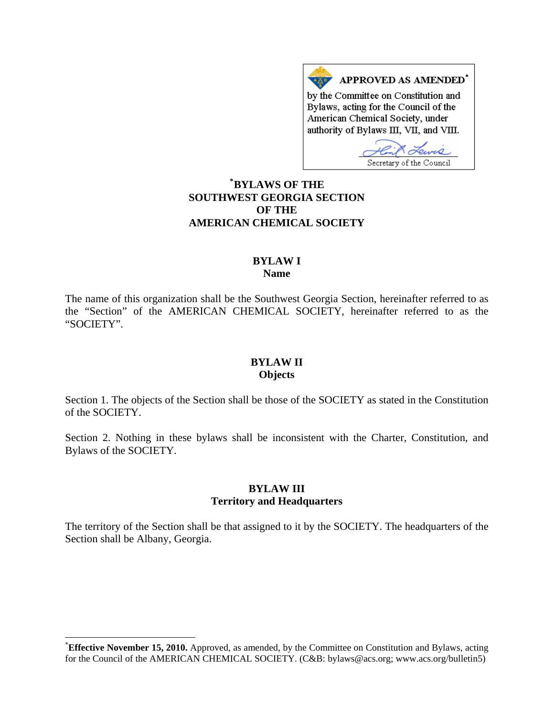APPROVED AS AMENDED\* by the Committee on Constitution and Bylaws, acting for the Council of the American Chemical Society, under authority of Bylaws III, VII, and VIII.

Lewis Secretary of the Council

# **\* [BYLAWS OF THE](#page-0-0)  SOUTHWEST GEORGIA SECTION OF THE AMERICAN CHEMICAL SOCIETY**

#### **BYLAW I Name**

The name of this organization shall be the Southwest Georgia Section, hereinafter referred to as the "Section" of the AMERICAN CHEMICAL SOCIETY, hereinafter referred to as the "SOCIETY".

### **BYLAW II Objects**

Section 1. The objects of the Section shall be those of the SOCIETY as stated in the Constitution of the SOCIETY.

Section 2. Nothing in these bylaws shall be inconsistent with the Charter, Constitution, and Bylaws of the SOCIETY.

## **BYLAW III Territory and Headquarters**

The territory of the Section shall be that assigned to it by the SOCIETY. The headquarters of the Section shall be Albany, Georgia.

l

<span id="page-0-0"></span><sup>\*</sup> **Effective November 15, 2010.** Approved, as amended, by the Committee on Constitution and Bylaws, acting for the Council of the AMERICAN CHEMICAL SOCIETY. (C&B: bylaws@acs.org; www.acs.org/bulletin5)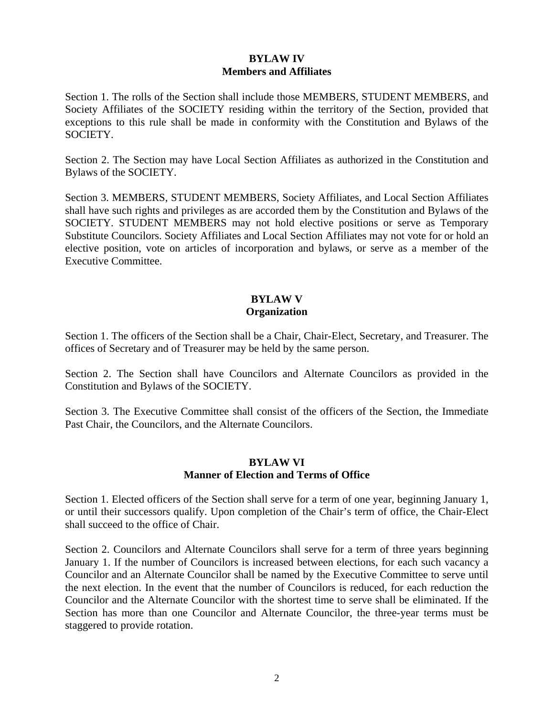# **BYLAW IV Members and Affiliates**

Section 1. The rolls of the Section shall include those MEMBERS, STUDENT MEMBERS, and Society Affiliates of the SOCIETY residing within the territory of the Section, provided that exceptions to this rule shall be made in conformity with the Constitution and Bylaws of the SOCIETY.

Section 2. The Section may have Local Section Affiliates as authorized in the Constitution and Bylaws of the SOCIETY.

Section 3. MEMBERS, STUDENT MEMBERS, Society Affiliates, and Local Section Affiliates shall have such rights and privileges as are accorded them by the Constitution and Bylaws of the SOCIETY. STUDENT MEMBERS may not hold elective positions or serve as Temporary Substitute Councilors. Society Affiliates and Local Section Affiliates may not vote for or hold an elective position, vote on articles of incorporation and bylaws, or serve as a member of the Executive Committee.

# **BYLAW V Organization**

Section 1. The officers of the Section shall be a Chair, Chair-Elect, Secretary, and Treasurer. The offices of Secretary and of Treasurer may be held by the same person.

Section 2. The Section shall have Councilors and Alternate Councilors as provided in the Constitution and Bylaws of the SOCIETY.

Section 3. The Executive Committee shall consist of the officers of the Section, the Immediate Past Chair, the Councilors, and the Alternate Councilors.

## **BYLAW VI Manner of Election and Terms of Office**

Section 1. Elected officers of the Section shall serve for a term of one year, beginning January 1, or until their successors qualify. Upon completion of the Chair's term of office, the Chair-Elect shall succeed to the office of Chair.

Section 2. Councilors and Alternate Councilors shall serve for a term of three years beginning January 1. If the number of Councilors is increased between elections, for each such vacancy a Councilor and an Alternate Councilor shall be named by the Executive Committee to serve until the next election. In the event that the number of Councilors is reduced, for each reduction the Councilor and the Alternate Councilor with the shortest time to serve shall be eliminated. If the Section has more than one Councilor and Alternate Councilor, the three-year terms must be staggered to provide rotation.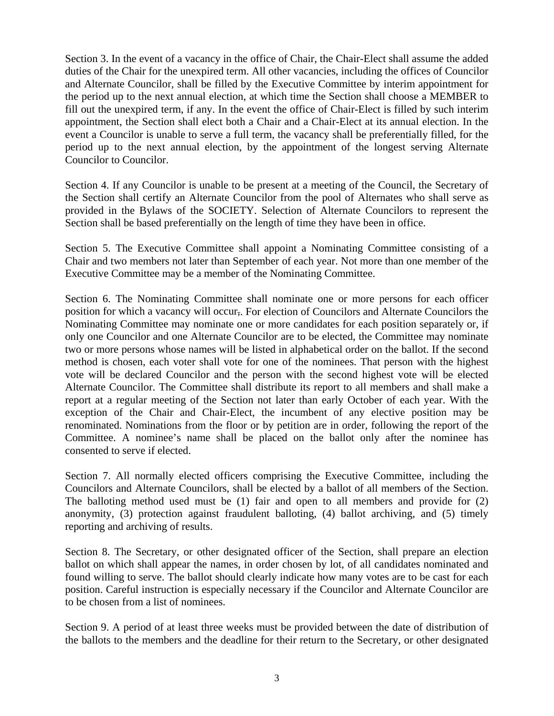Section 3. In the event of a vacancy in the office of Chair, the Chair-Elect shall assume the added duties of the Chair for the unexpired term. All other vacancies, including the offices of Councilor and Alternate Councilor, shall be filled by the Executive Committee by interim appointment for the period up to the next annual election, at which time the Section shall choose a MEMBER to fill out the unexpired term, if any. In the event the office of Chair-Elect is filled by such interim appointment, the Section shall elect both a Chair and a Chair-Elect at its annual election. In the event a Councilor is unable to serve a full term, the vacancy shall be preferentially filled, for the period up to the next annual election, by the appointment of the longest serving Alternate Councilor to Councilor.

Section 4. If any Councilor is unable to be present at a meeting of the Council, the Secretary of the Section shall certify an Alternate Councilor from the pool of Alternates who shall serve as provided in the Bylaws of the SOCIETY. Selection of Alternate Councilors to represent the Section shall be based preferentially on the length of time they have been in office.

Section 5. The Executive Committee shall appoint a Nominating Committee consisting of a Chair and two members not later than September of each year. Not more than one member of the Executive Committee may be a member of the Nominating Committee.

Section 6. The Nominating Committee shall nominate one or more persons for each officer position for which a vacancy will occur,. For election of Councilors and Alternate Councilors the Nominating Committee may nominate one or more candidates for each position separately or, if only one Councilor and one Alternate Councilor are to be elected, the Committee may nominate two or more persons whose names will be listed in alphabetical order on the ballot. If the second method is chosen, each voter shall vote for one of the nominees. That person with the highest vote will be declared Councilor and the person with the second highest vote will be elected Alternate Councilor. The Committee shall distribute its report to all members and shall make a report at a regular meeting of the Section not later than early October of each year. With the exception of the Chair and Chair-Elect, the incumbent of any elective position may be renominated. Nominations from the floor or by petition are in order, following the report of the Committee. A nominee's name shall be placed on the ballot only after the nominee has consented to serve if elected.

Section 7. All normally elected officers comprising the Executive Committee, including the Councilors and Alternate Councilors, shall be elected by a ballot of all members of the Section. The balloting method used must be (1) fair and open to all members and provide for (2) anonymity, (3) protection against fraudulent balloting, (4) ballot archiving, and (5) timely reporting and archiving of results.

Section 8. The Secretary, or other designated officer of the Section, shall prepare an election ballot on which shall appear the names, in order chosen by lot, of all candidates nominated and found willing to serve. The ballot should clearly indicate how many votes are to be cast for each position. Careful instruction is especially necessary if the Councilor and Alternate Councilor are to be chosen from a list of nominees.

Section 9. A period of at least three weeks must be provided between the date of distribution of the ballots to the members and the deadline for their return to the Secretary, or other designated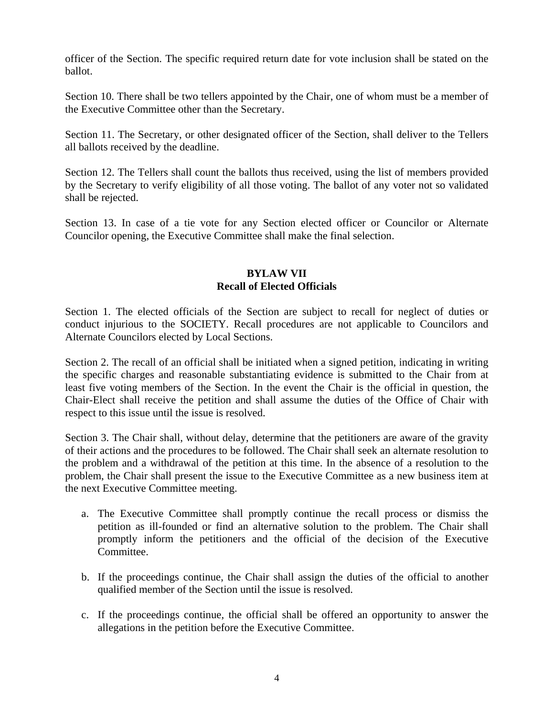officer of the Section. The specific required return date for vote inclusion shall be stated on the ballot.

Section 10. There shall be two tellers appointed by the Chair, one of whom must be a member of the Executive Committee other than the Secretary.

Section 11. The Secretary, or other designated officer of the Section, shall deliver to the Tellers all ballots received by the deadline.

Section 12. The Tellers shall count the ballots thus received, using the list of members provided by the Secretary to verify eligibility of all those voting. The ballot of any voter not so validated shall be rejected.

Section 13. In case of a tie vote for any Section elected officer or Councilor or Alternate Councilor opening, the Executive Committee shall make the final selection.

### **BYLAW VII Recall of Elected Officials**

Section 1. The elected officials of the Section are subject to recall for neglect of duties or conduct injurious to the SOCIETY. Recall procedures are not applicable to Councilors and Alternate Councilors elected by Local Sections.

Section 2. The recall of an official shall be initiated when a signed petition, indicating in writing the specific charges and reasonable substantiating evidence is submitted to the Chair from at least five voting members of the Section. In the event the Chair is the official in question, the Chair-Elect shall receive the petition and shall assume the duties of the Office of Chair with respect to this issue until the issue is resolved.

Section 3. The Chair shall, without delay, determine that the petitioners are aware of the gravity of their actions and the procedures to be followed. The Chair shall seek an alternate resolution to the problem and a withdrawal of the petition at this time. In the absence of a resolution to the problem, the Chair shall present the issue to the Executive Committee as a new business item at the next Executive Committee meeting.

- a. The Executive Committee shall promptly continue the recall process or dismiss the petition as ill-founded or find an alternative solution to the problem. The Chair shall promptly inform the petitioners and the official of the decision of the Executive Committee.
- b. If the proceedings continue, the Chair shall assign the duties of the official to another qualified member of the Section until the issue is resolved.
- c. If the proceedings continue, the official shall be offered an opportunity to answer the allegations in the petition before the Executive Committee.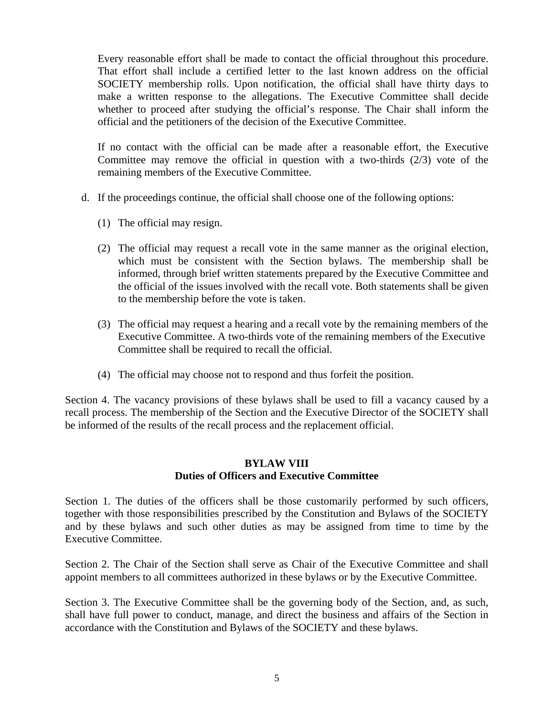Every reasonable effort shall be made to contact the official throughout this procedure. That effort shall include a certified letter to the last known address on the official SOCIETY membership rolls. Upon notification, the official shall have thirty days to make a written response to the allegations. The Executive Committee shall decide whether to proceed after studying the official's response. The Chair shall inform the official and the petitioners of the decision of the Executive Committee.

If no contact with the official can be made after a reasonable effort, the Executive Committee may remove the official in question with a two-thirds (2/3) vote of the remaining members of the Executive Committee.

- d. If the proceedings continue, the official shall choose one of the following options:
	- (1) The official may resign.
	- (2) The official may request a recall vote in the same manner as the original election, which must be consistent with the Section bylaws. The membership shall be informed, through brief written statements prepared by the Executive Committee and the official of the issues involved with the recall vote. Both statements shall be given to the membership before the vote is taken.
	- (3) The official may request a hearing and a recall vote by the remaining members of the Executive Committee. A two-thirds vote of the remaining members of the Executive Committee shall be required to recall the official.
	- (4) The official may choose not to respond and thus forfeit the position.

Section 4. The vacancy provisions of these bylaws shall be used to fill a vacancy caused by a recall process. The membership of the Section and the Executive Director of the SOCIETY shall be informed of the results of the recall process and the replacement official.

### **BYLAW VIII Duties of Officers and Executive Committee**

Section 1. The duties of the officers shall be those customarily performed by such officers, together with those responsibilities prescribed by the Constitution and Bylaws of the SOCIETY and by these bylaws and such other duties as may be assigned from time to time by the Executive Committee.

Section 2. The Chair of the Section shall serve as Chair of the Executive Committee and shall appoint members to all committees authorized in these bylaws or by the Executive Committee.

Section 3. The Executive Committee shall be the governing body of the Section, and, as such, shall have full power to conduct, manage, and direct the business and affairs of the Section in accordance with the Constitution and Bylaws of the SOCIETY and these bylaws.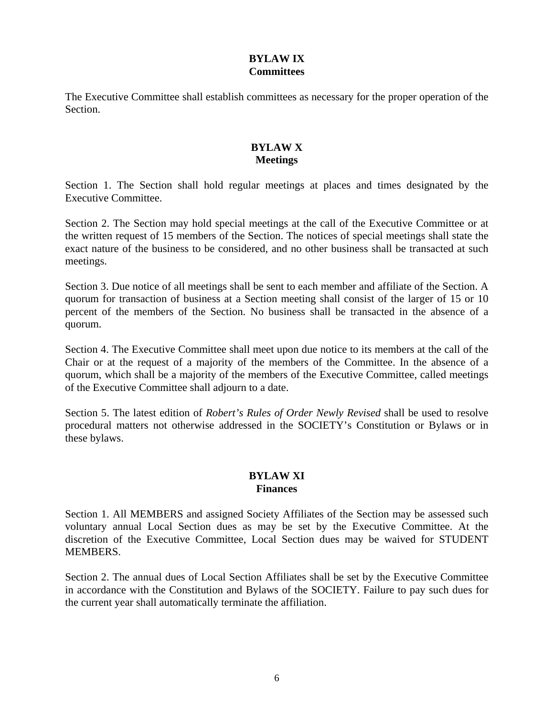# **BYLAW IX Committees**

The Executive Committee shall establish committees as necessary for the proper operation of the Section.

### **BYLAW X Meetings**

Section 1. The Section shall hold regular meetings at places and times designated by the Executive Committee.

Section 2. The Section may hold special meetings at the call of the Executive Committee or at the written request of 15 members of the Section. The notices of special meetings shall state the exact nature of the business to be considered, and no other business shall be transacted at such meetings.

Section 3. Due notice of all meetings shall be sent to each member and affiliate of the Section. A quorum for transaction of business at a Section meeting shall consist of the larger of 15 or 10 percent of the members of the Section. No business shall be transacted in the absence of a quorum.

Section 4. The Executive Committee shall meet upon due notice to its members at the call of the Chair or at the request of a majority of the members of the Committee. In the absence of a quorum, which shall be a majority of the members of the Executive Committee, called meetings of the Executive Committee shall adjourn to a date.

Section 5. The latest edition of *Robert's Rules of Order Newly Revised* shall be used to resolve procedural matters not otherwise addressed in the SOCIETY's Constitution or Bylaws or in these bylaws.

#### **BYLAW XI Finances**

Section 1. All MEMBERS and assigned Society Affiliates of the Section may be assessed such voluntary annual Local Section dues as may be set by the Executive Committee. At the discretion of the Executive Committee, Local Section dues may be waived for STUDENT MEMBERS.

Section 2. The annual dues of Local Section Affiliates shall be set by the Executive Committee in accordance with the Constitution and Bylaws of the SOCIETY. Failure to pay such dues for the current year shall automatically terminate the affiliation.